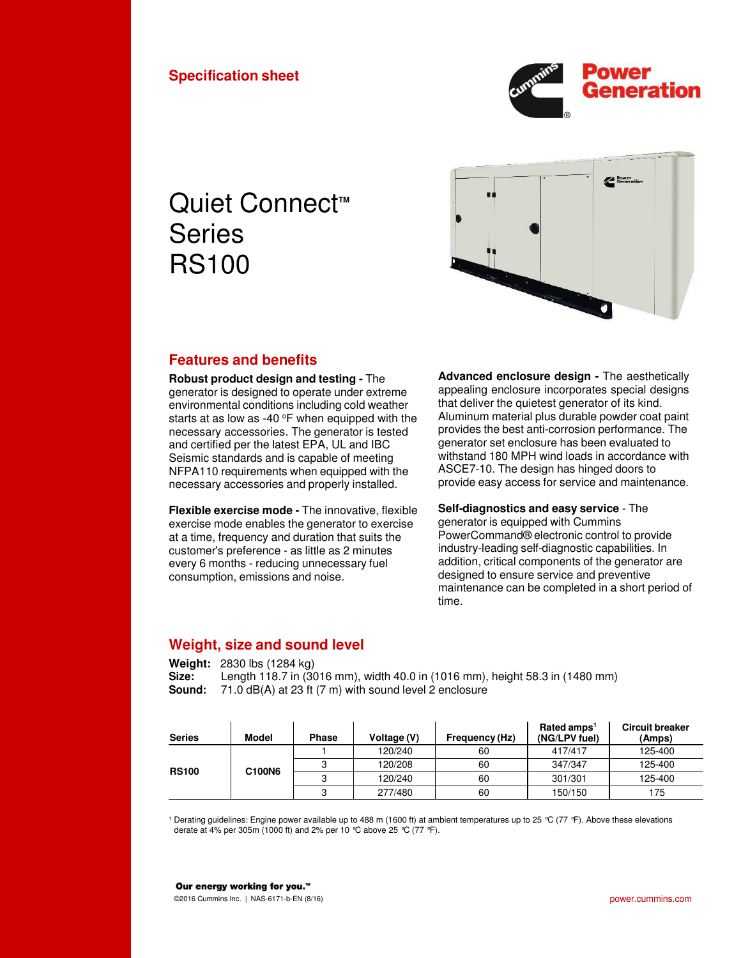



# Quiet Connect<sup>™</sup> Series RS100



# **Features and benefits**

**Robust product design and testing -** The generator is designed to operate under extreme environmental conditions including cold weather starts at as low as -40  $\degree$ F when equipped with the necessary accessories. The generator is tested and certified per the latest EPA, UL and IBC Seismic standards and is capable of meeting NFPA110 requirements when equipped with the necessary accessories and properly installed.

**Flexible exercise mode -** The innovative, flexible exercise mode enables the generator to exercise at a time, frequency and duration that suits the customer's preference - as little as 2 minutes every 6 months - reducing unnecessary fuel consumption, emissions and noise.

**Advanced enclosure design -** The aesthetically appealing enclosure incorporates special designs that deliver the quietest generator of its kind. Aluminum material plus durable powder coat paint provides the best anti-corrosion performance. The generator set enclosure has been evaluated to withstand 180 MPH wind loads in accordance with ASCE7-10. The design has hinged doors to provide easy access for service and maintenance.

**Self-diagnostics and easy service** - The generator is equipped with Cummins PowerCommand® electronic control to provide industry-leading self-diagnostic capabilities. In addition, critical components of the generator are designed to ensure service and preventive maintenance can be completed in a short period of time.

# **Weight, size and sound level**

**Weight:** 2830 lbs (1284 kg)

**Size:** Length 118.7 in (3016 mm), width 40.0 in (1016 mm), height 58.3 in (1480 mm) **Sound:** 71.0 dB(A) at 23 ft (7 m) with sound level 2 enclosure

| <b>Series</b> | Model  | <b>Phase</b> | Voltage (V) | Frequency (Hz) | Rated amps <sup>1</sup><br>(NG/LPV fuel) | Circuit breaker<br>(Amps) |
|---------------|--------|--------------|-------------|----------------|------------------------------------------|---------------------------|
| <b>RS100</b>  | C100N6 |              | 120/240     | 60             | 417/417                                  | 125-400                   |
|               |        |              | 120/208     | 60             | 347/347                                  | 125-400                   |
|               |        |              | 120/240     | 60             | 301/301                                  | 125-400                   |
|               |        |              | 277/480     | 60             | 150/150                                  | 175                       |

1 Derating guidelines: Engine power available up to 488 m (1600 ft) at ambient temperatures up to 25 °C (77 °F). Above these elevations derate at 4% per 305m (1000 ft) and 2% per 10 °C above 25 °C (77 °F).

Our energy working for you.™ ©2016 Cummins Inc. | NAS-6171-b-EN (8/16) power.cummins.com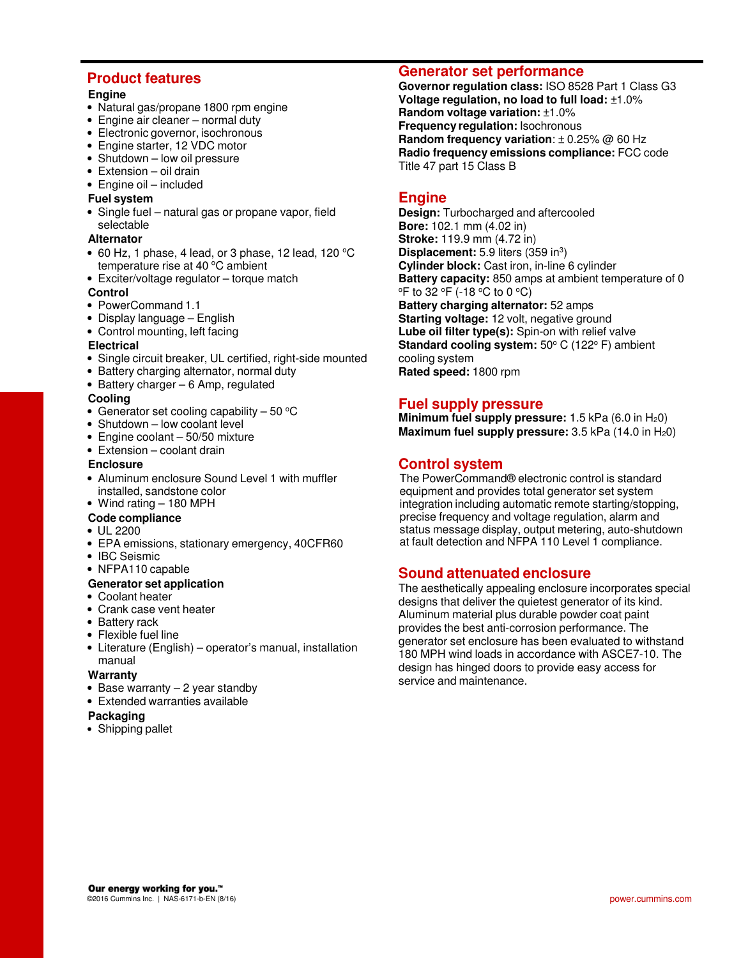### **Product features**

#### **Engine**

- Natural gas/propane 1800 rpm engine
- Engine air cleaner normal duty
- Electronic governor, isochronous
- Engine starter, 12 VDC motor
- Shutdown low oil pressure
- Extension oil drain
- Engine oil included

## **Fuel system**

• Single fuel – natural gas or propane vapor, field selectable

#### **Alternator**

- $\bullet$  60 Hz, 1 phase, 4 lead, or 3 phase, 12 lead, 120 °C temperature rise at 40 °C ambient
- Exciter/voltage regulator torque match

#### **Control**

- PowerCommand 1.1
- Display language English
- Control mounting, left facing

#### **Electrical**

- Single circuit breaker, UL certified, right-side mounted
- Battery charging alternator, normal duty
- Battery charger 6 Amp, regulated

#### **Cooling**

- Generator set cooling capability  $-50$  °C
- Shutdown low coolant level
- Engine coolant 50/50 mixture
- Extension coolant drain

#### **Enclosure**

- Aluminum enclosure Sound Level 1 with muffler installed, sandstone color
- Wind rating 180 MPH
- **Code compliance**
- UL 2200
- EPA emissions, stationary emergency, 40CFR60
- IBC Seismic
- NFPA110 capable

#### **Generator set application**

- Coolant heater
- Crank case vent heater
- Battery rack
- Flexible fuel line
- Literature (English) operator's manual, installation manual

#### **Warranty**

- Base warranty 2 year standby
- Extended warranties available

#### **Packaging**

• Shipping pallet

### **Generator set performance**

**Governor regulation class:** ISO 8528 Part 1 Class G3 **Voltage regulation, no load to full load:** ±1.0% **Random voltage variation:** ±1.0% **Frequency regulation:** Isochronous **Random frequency variation**: ± 0.25% @ 60 Hz **Radio frequency emissions compliance:** FCC code Title 47 part 15 Class B

# **Engine**

**Design:** Turbocharged and aftercooled **Bore:** 102.1 mm (4.02 in) **Stroke:** 119.9 mm (4.72 in) **Displacement:** 5.9 liters (359 in<sup>3</sup>) **Cylinder block:** Cast iron, in-line 6 cylinder **Battery capacity:** 850 amps at ambient temperature of 0  $\degree$ F to 32  $\degree$ F (-18  $\degree$ C to 0  $\degree$ C) **Battery charging alternator:** 52 amps **Starting voltage: 12 volt, negative ground Lube oil filter type(s):** Spin-on with relief valve **Standard cooling system:** 50° C (122° F) ambient cooling system **Rated speed:** 1800 rpm

# **Fuel supply pressure**

**Minimum fuel supply pressure:** 1.5 kPa (6.0 in H<sub>2</sub>0) **Maximum fuel supply pressure:** 3.5 kPa (14.0 in H<sub>2</sub>0)

# **Control system**

The PowerCommand® electronic control is standard equipment and provides total generator set system integration including automatic remote starting/stopping, precise frequency and voltage regulation, alarm and status message display, output metering, auto-shutdown at fault detection and NFPA 110 Level 1 compliance.

# **Sound attenuated enclosure**

The aesthetically appealing enclosure incorporates special designs that deliver the quietest generator of its kind. Aluminum material plus durable powder coat paint provides the best anti-corrosion performance. The generator set enclosure has been evaluated to withstand 180 MPH wind loads in accordance with ASCE7-10. The design has hinged doors to provide easy access for service and maintenance.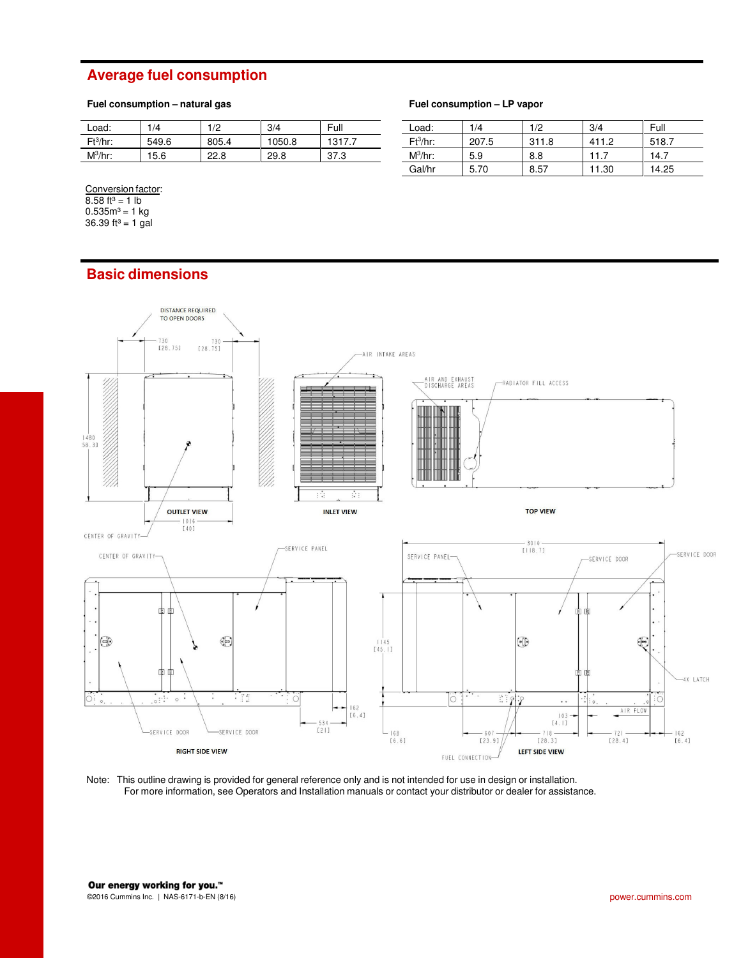# **Average fuel consumption**

#### **Fuel consumption – natural gas Fuel consumption – LP vapor**

| Load:       | 1/4   | 1/2   | 3/4    | Full   |
|-------------|-------|-------|--------|--------|
| $Ft^3/hr$ : | 549.6 | 805.4 | 1050.8 | 1317.7 |
| $M^3/hr$ :  | 15.6  | 22.8  | 29.8   | 37.3   |

| Load:       | 1/4   | 1/2   | 3/4   | Full  |
|-------------|-------|-------|-------|-------|
| $Ft^3/hr$ : | 207.5 | 311.8 | 411.2 | 518.7 |
| $M^3/hr$ :  | 5.9   | 8.8   | 11.7  | 14.7  |
| Gal/hr      | 5.70  | 8.57  | 11.30 | 14.25 |

Conversion factor:  $8.58$  ft<sup>3</sup> = 1 lb  $0.535m^3 = 1$  kg

 $36.39$  ft<sup>3</sup> = 1 gal

# **Basic dimensions**



Note: This outline drawing is provided for general reference only and is not intended for use in design or installation. For more information, see Operators and Installation manuals or contact your distributor or dealer for assistance.